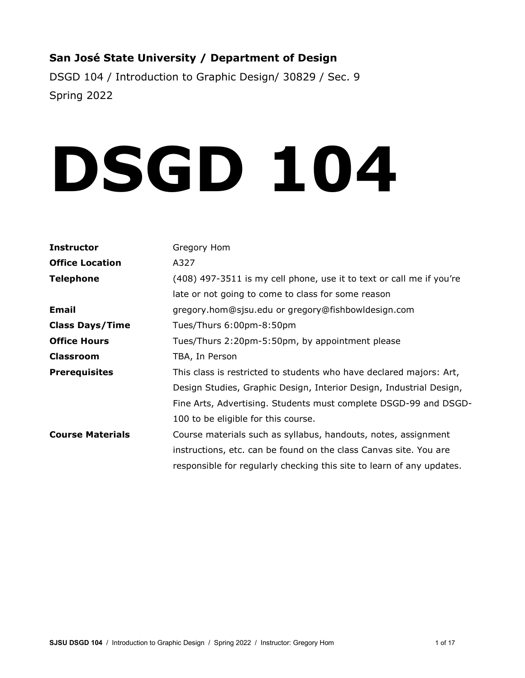# **San José State University / Department of Design**

DSGD 104 / Introduction to Graphic Design/ 30829 / Sec. 9 Spring 2022

# **DSGD 104**

| Gregory Hom                                                           |
|-----------------------------------------------------------------------|
| A327                                                                  |
| (408) 497-3511 is my cell phone, use it to text or call me if you're  |
| late or not going to come to class for some reason                    |
| gregory.hom@sjsu.edu or gregory@fishbowldesign.com                    |
| Tues/Thurs 6:00pm-8:50pm                                              |
| Tues/Thurs 2:20pm-5:50pm, by appointment please                       |
| TBA, In Person                                                        |
| This class is restricted to students who have declared majors: Art,   |
| Design Studies, Graphic Design, Interior Design, Industrial Design,   |
| Fine Arts, Advertising. Students must complete DSGD-99 and DSGD-      |
| 100 to be eligible for this course.                                   |
| Course materials such as syllabus, handouts, notes, assignment        |
| instructions, etc. can be found on the class Canvas site. You are     |
| responsible for regularly checking this site to learn of any updates. |
|                                                                       |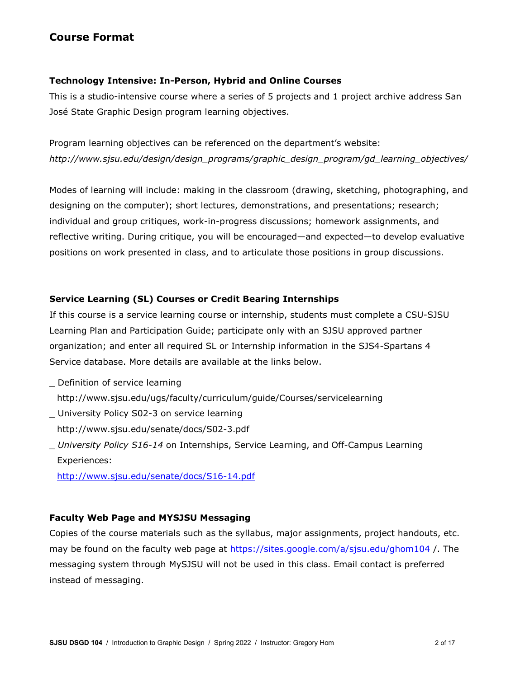# **Course Format**

## **Technology Intensive: In-Person, Hybrid and Online Courses**

This is a studio-intensive course where a series of 5 projects and 1 project archive address San José State Graphic Design program learning objectives.

Program learning objectives can be referenced on the department's website: *http://www.sjsu.edu/design/design\_programs/graphic\_design\_program/gd\_learning\_objectives/*

Modes of learning will include: making in the classroom (drawing, sketching, photographing, and designing on the computer); short lectures, demonstrations, and presentations; research; individual and group critiques, work-in-progress discussions; homework assignments, and reflective writing. During critique, you will be encouraged—and expected—to develop evaluative positions on work presented in class, and to articulate those positions in group discussions.

# **Service Learning (SL) Courses or Credit Bearing Internships**

If this course is a service learning course or internship, students must complete a CSU-SJSU Learning Plan and Participation Guide; participate only with an SJSU approved partner organization; and enter all required SL or Internship information in the SJS4-Spartans 4 Service database. More details are available at the links below.

- \_ Definition of service learning http://www.sjsu.edu/ugs/faculty/curriculum/guide/Courses/servicelearning
- \_ University Policy S02-3 on service learning http://www.sjsu.edu/senate/docs/S02-3.pdf
- \_ *University Policy S16-14* on Internships, Service Learning, and Off-Campus Learning Experiences:

<http://www.sjsu.edu/senate/docs/S16-14.pdf>

# **Faculty Web Page and MYSJSU Messaging**

Copies of the course materials such as the syllabus, major assignments, project handouts, etc. may be found on the faculty web page at<https://sites.google.com/a/sjsu.edu/ghom104> /. The messaging system through MySJSU will not be used in this class. Email contact is preferred instead of messaging.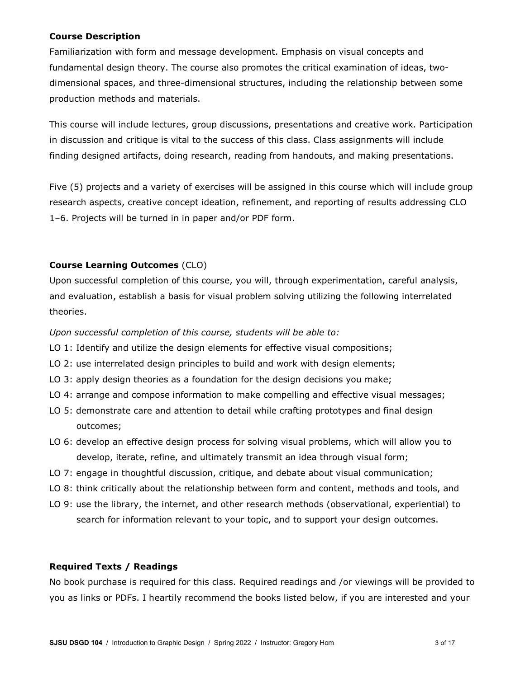#### **Course Description**

Familiarization with form and message development. Emphasis on visual concepts and fundamental design theory. The course also promotes the critical examination of ideas, twodimensional spaces, and three-dimensional structures, including the relationship between some production methods and materials.

This course will include lectures, group discussions, presentations and creative work. Participation in discussion and critique is vital to the success of this class. Class assignments will include finding designed artifacts, doing research, reading from handouts, and making presentations.

Five (5) projects and a variety of exercises will be assigned in this course which will include group research aspects, creative concept ideation, refinement, and reporting of results addressing CLO 1–6. Projects will be turned in in paper and/or PDF form.

## **Course Learning Outcomes** (CLO)

Upon successful completion of this course, you will, through experimentation, careful analysis, and evaluation, establish a basis for visual problem solving utilizing the following interrelated theories.

*Upon successful completion of this course, students will be able to:*

- LO 1: Identify and utilize the design elements for effective visual compositions;
- LO 2: use interrelated design principles to build and work with design elements;
- LO 3: apply design theories as a foundation for the design decisions you make;
- LO 4: arrange and compose information to make compelling and effective visual messages;
- LO 5: demonstrate care and attention to detail while crafting prototypes and final design outcomes;
- LO 6: develop an effective design process for solving visual problems, which will allow you to develop, iterate, refine, and ultimately transmit an idea through visual form;
- LO 7: engage in thoughtful discussion, critique, and debate about visual communication;
- LO 8: think critically about the relationship between form and content, methods and tools, and
- LO 9: use the library, the internet, and other research methods (observational, experiential) to search for information relevant to your topic, and to support your design outcomes.

#### **Required Texts / Readings**

No book purchase is required for this class. Required readings and /or viewings will be provided to you as links or PDFs. I heartily recommend the books listed below, if you are interested and your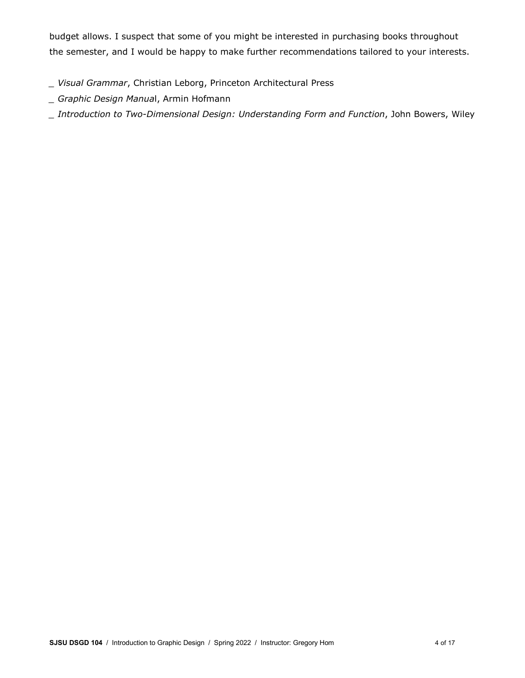budget allows. I suspect that some of you might be interested in purchasing books throughout the semester, and I would be happy to make further recommendations tailored to your interests.

- *\_ Visual Grammar*, Christian Leborg, Princeton Architectural Press
- *\_ Graphic Design Manua*l, Armin Hofmann
- *\_ Introduction to Two-Dimensional Design: Understanding Form and Function*, John Bowers, Wiley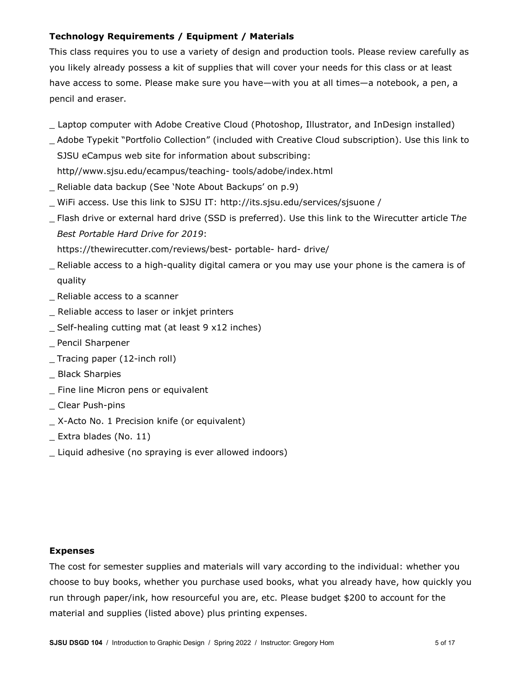# **Technology Requirements / Equipment / Materials**

This class requires you to use a variety of design and production tools. Please review carefully as you likely already possess a kit of supplies that will cover your needs for this class or at least have access to some. Please make sure you have—with you at all times—a notebook, a pen, a pencil and eraser.

- Laptop computer with Adobe Creative Cloud (Photoshop, Illustrator, and InDesign installed)
- \_ Adobe Typekit "Portfolio Collection" (included with Creative Cloud subscription). Use this link to SJSU eCampus web site for information about subscribing: http//www.sjsu.edu/ecampus/teaching- tools/adobe/index.html
- Reliable data backup (See 'Note About Backups' on p.9)
- \_ WiFi access. Use this link to SJSU IT: http://its.sjsu.edu/services/sjsuone /
- \_ Flash drive or external hard drive (SSD is preferred). Use this link to the Wirecutter article T*he Best Portable Hard Drive for 2019*:

https://thewirecutter.com/reviews/best- portable- hard- drive/

- \_ Reliable access to a high-quality digital camera or you may use your phone is the camera is of quality
- \_ Reliable access to a scanner
- \_ Reliable access to laser or inkjet printers
- \_ Self-healing cutting mat (at least 9 x12 inches)
- \_ Pencil Sharpener
- \_ Tracing paper (12-inch roll)
- \_ Black Sharpies
- \_ Fine line Micron pens or equivalent
- \_ Clear Push-pins
- \_ X-Acto No. 1 Precision knife (or equivalent)
- \_ Extra blades (No. 11)
- \_ Liquid adhesive (no spraying is ever allowed indoors)

#### **Expenses**

The cost for semester supplies and materials will vary according to the individual: whether you choose to buy books, whether you purchase used books, what you already have, how quickly you run through paper/ink, how resourceful you are, etc. Please budget \$200 to account for the material and supplies (listed above) plus printing expenses.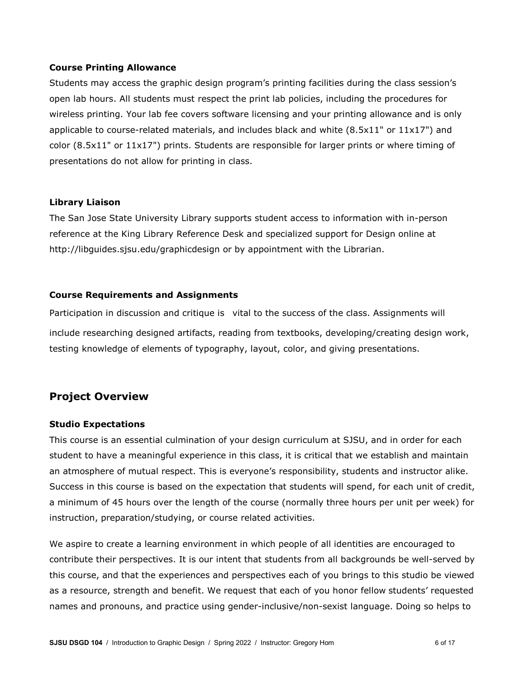#### **Course Printing Allowance**

Students may access the graphic design program's printing facilities during the class session's open lab hours. All students must respect the print lab policies, including the procedures for wireless printing. Your lab fee covers software licensing and your printing allowance and is only applicable to course-related materials, and includes black and white (8.5x11" or 11x17") and color (8.5x11" or 11x17") prints. Students are responsible for larger prints or where timing of presentations do not allow for printing in class.

#### **Library Liaison**

The San Jose State University Library supports student access to information with in-person reference at the King Library Reference Desk and specialized support for Design online at http://libguides.sjsu.edu/graphicdesign or by appointment with the Librarian.

#### **Course Requirements and Assignments**

Participation in discussion and critique is vital to the success of the class. Assignments will include researching designed artifacts, reading from textbooks, developing/creating design work, testing knowledge of elements of typography, layout, color, and giving presentations.

# **Project Overview**

#### **Studio Expectations**

This course is an essential culmination of your design curriculum at SJSU, and in order for each student to have a meaningful experience in this class, it is critical that we establish and maintain an atmosphere of mutual respect. This is everyone's responsibility, students and instructor alike. Success in this course is based on the expectation that students will spend, for each unit of credit, a minimum of 45 hours over the length of the course (normally three hours per unit per week) for instruction, preparation/studying, or course related activities.

We aspire to create a learning environment in which people of all identities are encouraged to contribute their perspectives. It is our intent that students from all backgrounds be well-served by this course, and that the experiences and perspectives each of you brings to this studio be viewed as a resource, strength and benefit. We request that each of you honor fellow students' requested names and pronouns, and practice using gender-inclusive/non-sexist language. Doing so helps to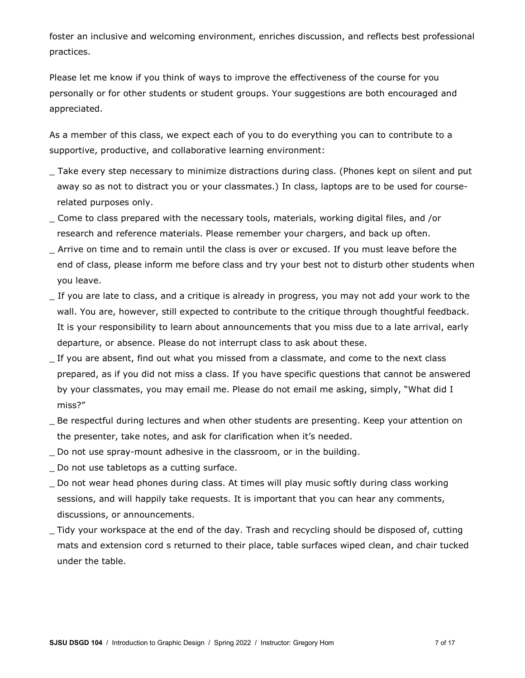foster an inclusive and welcoming environment, enriches discussion, and reflects best professional practices.

Please let me know if you think of ways to improve the effectiveness of the course for you personally or for other students or student groups. Your suggestions are both encouraged and appreciated.

As a member of this class, we expect each of you to do everything you can to contribute to a supportive, productive, and collaborative learning environment:

- \_ Take every step necessary to minimize distractions during class. (Phones kept on silent and put away so as not to distract you or your classmates.) In class, laptops are to be used for courserelated purposes only.
- \_ Come to class prepared with the necessary tools, materials, working digital files, and /or research and reference materials. Please remember your chargers, and back up often.
- \_ Arrive on time and to remain until the class is over or excused. If you must leave before the end of class, please inform me before class and try your best not to disturb other students when you leave.
- If you are late to class, and a critique is already in progress, you may not add your work to the wall. You are, however, still expected to contribute to the critique through thoughtful feedback. It is your responsibility to learn about announcements that you miss due to a late arrival, early departure, or absence. Please do not interrupt class to ask about these.
- \_ If you are absent, find out what you missed from a classmate, and come to the next class prepared, as if you did not miss a class. If you have specific questions that cannot be answered by your classmates, you may email me. Please do not email me asking, simply, "What did I miss?"
- \_ Be respectful during lectures and when other students are presenting. Keep your attention on the presenter, take notes, and ask for clarification when it's needed.
- \_ Do not use spray-mount adhesive in the classroom, or in the building.
- \_ Do not use tabletops as a cutting surface.
- \_ Do not wear head phones during class. At times will play music softly during class working sessions, and will happily take requests. It is important that you can hear any comments, discussions, or announcements.
- \_ Tidy your workspace at the end of the day. Trash and recycling should be disposed of, cutting mats and extension cord s returned to their place, table surfaces wiped clean, and chair tucked under the table.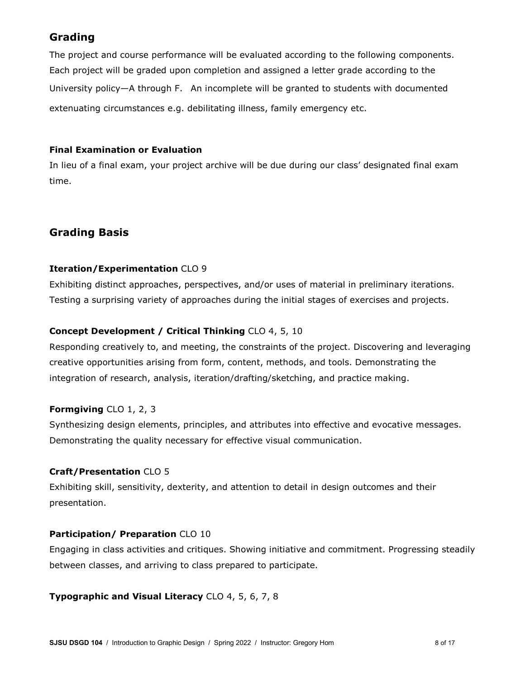# **Grading**

The project and course performance will be evaluated according to the following components. Each project will be graded upon completion and assigned a letter grade according to the University policy—A through F. An incomplete will be granted to students with documented extenuating circumstances e.g. debilitating illness, family emergency etc.

## **Final Examination or Evaluation**

In lieu of a final exam, your project archive will be due during our class' designated final exam time.

# **Grading Basis**

# **Iteration/Experimentation** CLO 9

Exhibiting distinct approaches, perspectives, and/or uses of material in preliminary iterations. Testing a surprising variety of approaches during the initial stages of exercises and projects.

# **Concept Development / Critical Thinking** CLO 4, 5, 10

Responding creatively to, and meeting, the constraints of the project. Discovering and leveraging creative opportunities arising from form, content, methods, and tools. Demonstrating the integration of research, analysis, iteration/drafting/sketching, and practice making.

# **Formgiving** CLO 1, 2, 3

Synthesizing design elements, principles, and attributes into effective and evocative messages. Demonstrating the quality necessary for effective visual communication.

# **Craft/Presentation** CLO 5

Exhibiting skill, sensitivity, dexterity, and attention to detail in design outcomes and their presentation.

# **Participation/ Preparation** CLO 10

Engaging in class activities and critiques. Showing initiative and commitment. Progressing steadily between classes, and arriving to class prepared to participate.

#### **Typographic and Visual Literacy** CLO 4, 5, 6, 7, 8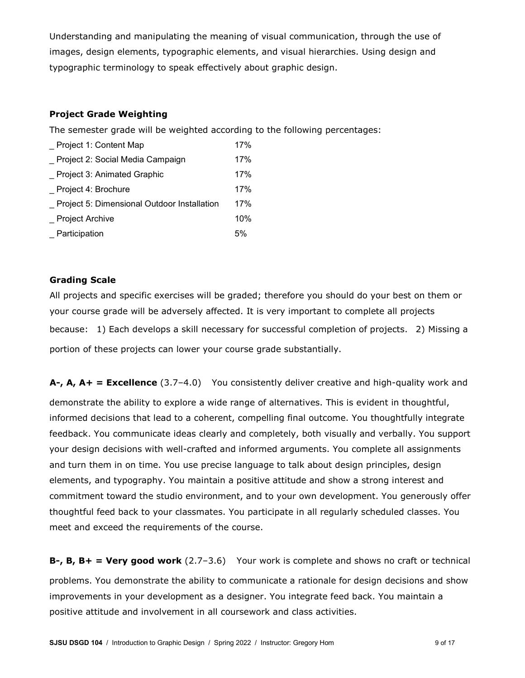Understanding and manipulating the meaning of visual communication, through the use of images, design elements, typographic elements, and visual hierarchies. Using design and typographic terminology to speak effectively about graphic design.

## **Project Grade Weighting**

The semester grade will be weighted according to the following percentages:

| Project 1: Content Map                      | 17% |
|---------------------------------------------|-----|
| Project 2: Social Media Campaign            | 17% |
| Project 3: Animated Graphic                 | 17% |
| Project 4: Brochure                         | 17% |
| Project 5: Dimensional Outdoor Installation | 17% |
| <b>Project Archive</b>                      | 10% |
| _ Participation                             | 5%  |

## **Grading Scale**

All projects and specific exercises will be graded; therefore you should do your best on them or your course grade will be adversely affected. It is very important to complete all projects because: 1) Each develops a skill necessary for successful completion of projects. 2) Missing a portion of these projects can lower your course grade substantially.

**A-, A, A+ = Excellence** (3.7–4.0) You consistently deliver creative and high-quality work and demonstrate the ability to explore a wide range of alternatives. This is evident in thoughtful, informed decisions that lead to a coherent, compelling final outcome. You thoughtfully integrate feedback. You communicate ideas clearly and completely, both visually and verbally. You support your design decisions with well-crafted and informed arguments. You complete all assignments and turn them in on time. You use precise language to talk about design principles, design elements, and typography. You maintain a positive attitude and show a strong interest and commitment toward the studio environment, and to your own development. You generously offer thoughtful feed back to your classmates. You participate in all regularly scheduled classes. You meet and exceed the requirements of the course.

**B-, B, B+ = Very good work** (2.7–3.6) Your work is complete and shows no craft or technical problems. You demonstrate the ability to communicate a rationale for design decisions and show improvements in your development as a designer. You integrate feed back. You maintain a positive attitude and involvement in all coursework and class activities.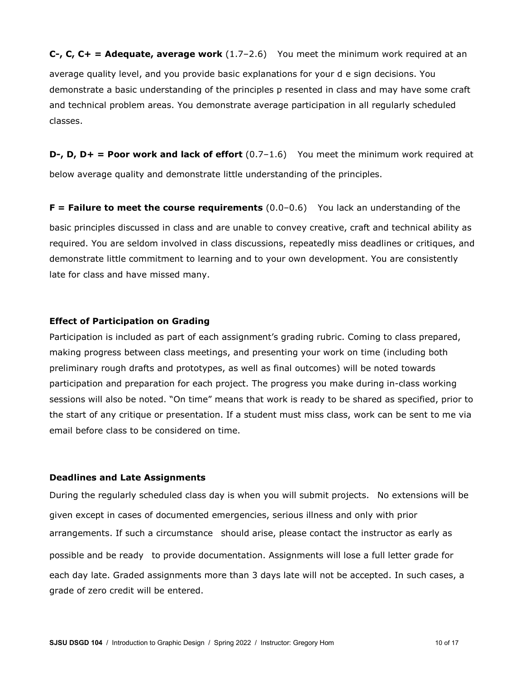**C-, C, C+ = Adequate, average work** (1.7-2.6) You meet the minimum work required at an average quality level, and you provide basic explanations for your d e sign decisions. You demonstrate a basic understanding of the principles p resented in class and may have some craft and technical problem areas. You demonstrate average participation in all regularly scheduled classes.

**D-, D, D+ = Poor work and lack of effort** (0.7-1.6) You meet the minimum work required at below average quality and demonstrate little understanding of the principles.

**F** = Failure to meet the course requirements (0.0-0.6) You lack an understanding of the basic principles discussed in class and are unable to convey creative, craft and technical ability as required. You are seldom involved in class discussions, repeatedly miss deadlines or critiques, and demonstrate little commitment to learning and to your own development. You are consistently late for class and have missed many.

#### **Effect of Participation on Grading**

Participation is included as part of each assignment's grading rubric. Coming to class prepared, making progress between class meetings, and presenting your work on time (including both preliminary rough drafts and prototypes, as well as final outcomes) will be noted towards participation and preparation for each project. The progress you make during in-class working sessions will also be noted. "On time" means that work is ready to be shared as specified, prior to the start of any critique or presentation. If a student must miss class, work can be sent to me via email before class to be considered on time.

#### **Deadlines and Late Assignments**

During the regularly scheduled class day is when you will submit projects. No extensions will be given except in cases of documented emergencies, serious illness and only with prior arrangements. If such a circumstance should arise, please contact the instructor as early as possible and be ready to provide documentation. Assignments will lose a full letter grade for each day late. Graded assignments more than 3 days late will not be accepted. In such cases, a grade of zero credit will be entered.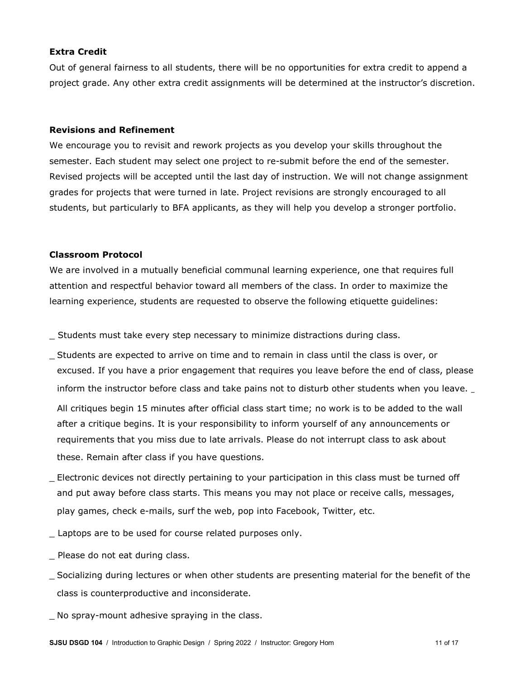#### **Extra Credit**

Out of general fairness to all students, there will be no opportunities for extra credit to append a project grade. Any other extra credit assignments will be determined at the instructor's discretion.

#### **Revisions and Refinement**

We encourage you to revisit and rework projects as you develop your skills throughout the semester. Each student may select one project to re-submit before the end of the semester. Revised projects will be accepted until the last day of instruction. We will not change assignment grades for projects that were turned in late. Project revisions are strongly encouraged to all students, but particularly to BFA applicants, as they will help you develop a stronger portfolio.

#### **Classroom Protocol**

We are involved in a mutually beneficial communal learning experience, one that requires full attention and respectful behavior toward all members of the class. In order to maximize the learning experience, students are requested to observe the following etiquette guidelines:

\_ Students must take every step necessary to minimize distractions during class.

\_ Students are expected to arrive on time and to remain in class until the class is over, or excused. If you have a prior engagement that requires you leave before the end of class, please inform the instructor before class and take pains not to disturb other students when you leave.

All critiques begin 15 minutes after official class start time; no work is to be added to the wall after a critique begins. It is your responsibility to inform yourself of any announcements or requirements that you miss due to late arrivals. Please do not interrupt class to ask about these. Remain after class if you have questions.

- \_ Electronic devices not directly pertaining to your participation in this class must be turned off and put away before class starts. This means you may not place or receive calls, messages, play games, check e-mails, surf the web, pop into Facebook, Twitter, etc.
- Laptops are to be used for course related purposes only.
- \_ Please do not eat during class.
- \_ Socializing during lectures or when other students are presenting material for the benefit of the class is counterproductive and inconsiderate.
- \_ No spray-mount adhesive spraying in the class.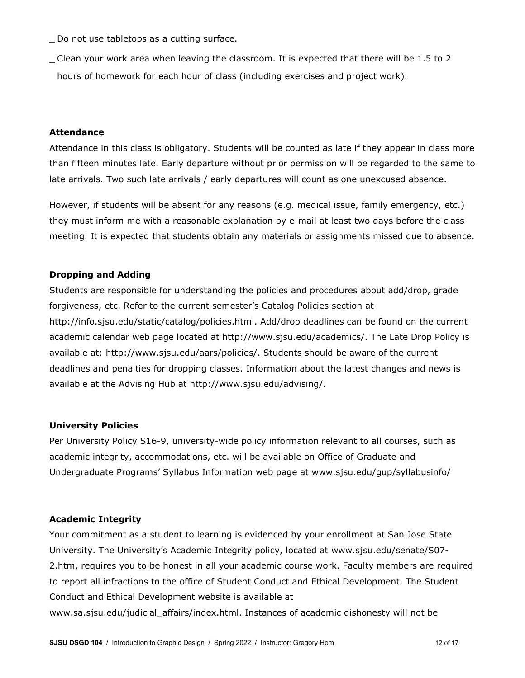Do not use tabletops as a cutting surface.

\_ Clean your work area when leaving the classroom. It is expected that there will be 1.5 to 2 hours of homework for each hour of class (including exercises and project work).

#### **Attendance**

Attendance in this class is obligatory. Students will be counted as late if they appear in class more than fifteen minutes late. Early departure without prior permission will be regarded to the same to late arrivals. Two such late arrivals / early departures will count as one unexcused absence.

However, if students will be absent for any reasons (e.g. medical issue, family emergency, etc.) they must inform me with a reasonable explanation by e-mail at least two days before the class meeting. It is expected that students obtain any materials or assignments missed due to absence.

#### **Dropping and Adding**

Students are responsible for understanding the policies and procedures about add/drop, grade forgiveness, etc. Refer to the current semester's Catalog Policies section at http://info.sjsu.edu/static/catalog/policies.html. Add/drop deadlines can be found on the current academic calendar web page located at http://www.sjsu.edu/academics/. The Late Drop Policy is available at: http://www.sjsu.edu/aars/policies/. Students should be aware of the current deadlines and penalties for dropping classes. Information about the latest changes and news is available at the Advising Hub at http://www.sjsu.edu/advising/.

#### **University Policies**

Per University Policy S16-9, university-wide policy information relevant to all courses, such as academic integrity, accommodations, etc. will be available on Office of Graduate and Undergraduate Programs' Syllabus Information web page at www.sjsu.edu/gup/syllabusinfo/

#### **Academic Integrity**

Your commitment as a student to learning is evidenced by your enrollment at San Jose State University. The University's Academic Integrity policy, located at www.sjsu.edu/senate/S07- 2.htm, requires you to be honest in all your academic course work. Faculty members are required to report all infractions to the office of Student Conduct and Ethical Development. The Student Conduct and Ethical Development website is available at

www.sa.sjsu.edu/judicial\_affairs/index.html. Instances of academic dishonesty will not be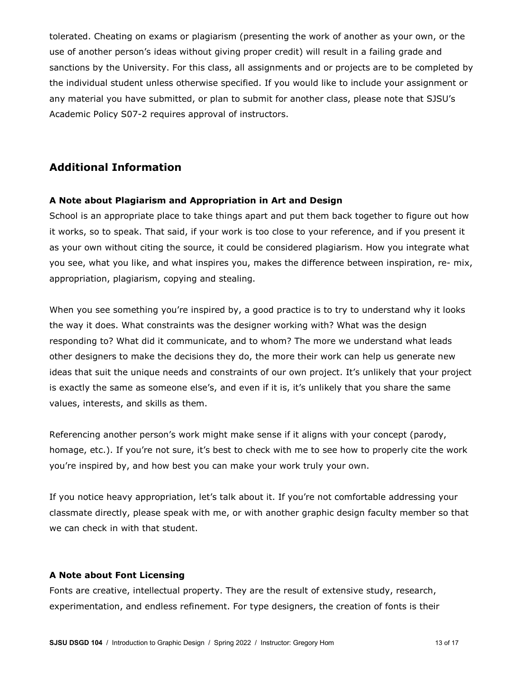tolerated. Cheating on exams or plagiarism (presenting the work of another as your own, or the use of another person's ideas without giving proper credit) will result in a failing grade and sanctions by the University. For this class, all assignments and or projects are to be completed by the individual student unless otherwise specified. If you would like to include your assignment or any material you have submitted, or plan to submit for another class, please note that SJSU's Academic Policy S07-2 requires approval of instructors.

# **Additional Information**

## **A Note about Plagiarism and Appropriation in Art and Design**

School is an appropriate place to take things apart and put them back together to figure out how it works, so to speak. That said, if your work is too close to your reference, and if you present it as your own without citing the source, it could be considered plagiarism. How you integrate what you see, what you like, and what inspires you, makes the difference between inspiration, re- mix, appropriation, plagiarism, copying and stealing.

When you see something you're inspired by, a good practice is to try to understand why it looks the way it does. What constraints was the designer working with? What was the design responding to? What did it communicate, and to whom? The more we understand what leads other designers to make the decisions they do, the more their work can help us generate new ideas that suit the unique needs and constraints of our own project. It's unlikely that your project is exactly the same as someone else's, and even if it is, it's unlikely that you share the same values, interests, and skills as them.

Referencing another person's work might make sense if it aligns with your concept (parody, homage, etc.). If you're not sure, it's best to check with me to see how to properly cite the work you're inspired by, and how best you can make your work truly your own.

If you notice heavy appropriation, let's talk about it. If you're not comfortable addressing your classmate directly, please speak with me, or with another graphic design faculty member so that we can check in with that student.

#### **A Note about Font Licensing**

Fonts are creative, intellectual property. They are the result of extensive study, research, experimentation, and endless refinement. For type designers, the creation of fonts is their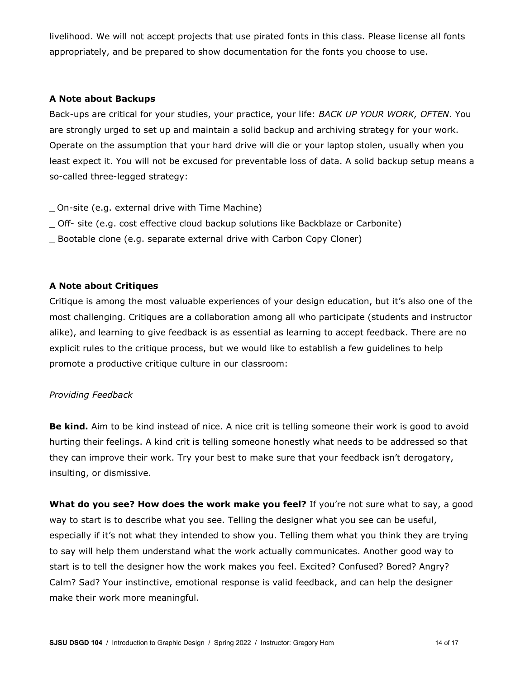livelihood. We will not accept projects that use pirated fonts in this class. Please license all fonts appropriately, and be prepared to show documentation for the fonts you choose to use.

#### **A Note about Backups**

Back-ups are critical for your studies, your practice, your life: *BACK UP YOUR WORK, OFTEN*. You are strongly urged to set up and maintain a solid backup and archiving strategy for your work. Operate on the assumption that your hard drive will die or your laptop stolen, usually when you least expect it. You will not be excused for preventable loss of data. A solid backup setup means a so-called three-legged strategy:

\_ On-site (e.g. external drive with Time Machine)

- \_ Off- site (e.g. cost effective cloud backup solutions like Backblaze or Carbonite)
- \_ Bootable clone (e.g. separate external drive with Carbon Copy Cloner)

## **A Note about Critiques**

Critique is among the most valuable experiences of your design education, but it's also one of the most challenging. Critiques are a collaboration among all who participate (students and instructor alike), and learning to give feedback is as essential as learning to accept feedback. There are no explicit rules to the critique process, but we would like to establish a few guidelines to help promote a productive critique culture in our classroom:

#### *Providing Feedback*

**Be kind.** Aim to be kind instead of nice. A nice crit is telling someone their work is good to avoid hurting their feelings. A kind crit is telling someone honestly what needs to be addressed so that they can improve their work. Try your best to make sure that your feedback isn't derogatory, insulting, or dismissive.

**What do you see? How does the work make you feel?** If you're not sure what to say, a good way to start is to describe what you see. Telling the designer what you see can be useful, especially if it's not what they intended to show you. Telling them what you think they are trying to say will help them understand what the work actually communicates. Another good way to start is to tell the designer how the work makes you feel. Excited? Confused? Bored? Angry? Calm? Sad? Your instinctive, emotional response is valid feedback, and can help the designer make their work more meaningful.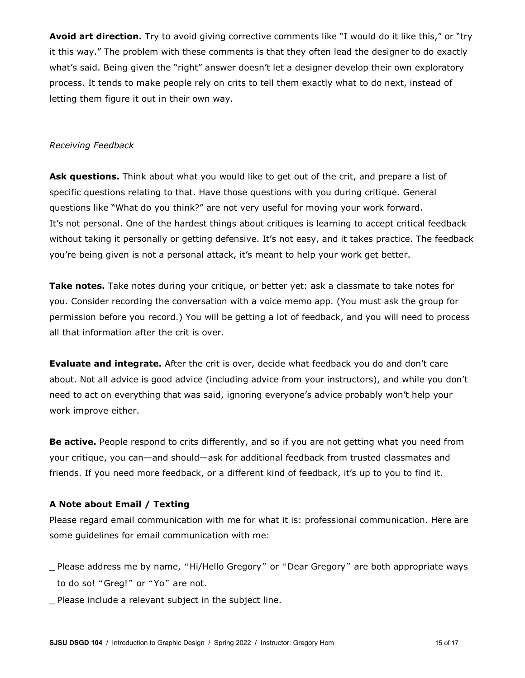**Avoid art direction.** Try to avoid giving corrective comments like "I would do it like this," or "try it this way." The problem with these comments is that they often lead the designer to do exactly what's said. Being given the "right" answer doesn't let a designer develop their own exploratory process. It tends to make people rely on crits to tell them exactly what to do next, instead of letting them figure it out in their own way.

#### *Receiving Feedback*

**Ask questions.** Think about what you would like to get out of the crit, and prepare a list of specific questions relating to that. Have those questions with you during critique. General questions like "What do you think?" are not very useful for moving your work forward. It's not personal. One of the hardest things about critiques is learning to accept critical feedback without taking it personally or getting defensive. It's not easy, and it takes practice. The feedback you're being given is not a personal attack, it's meant to help your work get better.

Take notes. Take notes during your critique, or better yet: ask a classmate to take notes for you. Consider recording the conversation with a voice memo app. (You must ask the group for permission before you record.) You will be getting a lot of feedback, and you will need to process all that information after the crit is over.

**Evaluate and integrate.** After the crit is over, decide what feedback you do and don't care about. Not all advice is good advice (including advice from your instructors), and while you don't need to act on everything that was said, ignoring everyone's advice probably won't help your work improve either.

**Be active.** People respond to crits differently, and so if you are not getting what you need from your critique, you can—and should—ask for additional feedback from trusted classmates and friends. If you need more feedback, or a different kind of feedback, it's up to you to find it.

# **A Note about Email / Texting**

Please regard email communication with me for what it is: professional communication. Here are some guidelines for email communication with me:

- \_ Please address me by name, "Hi/Hello Gregory" or "Dear Gregory" are both appropriate ways to do so! "Greg!" or "Yo" are not.
- \_ Please include a relevant subject in the subject line.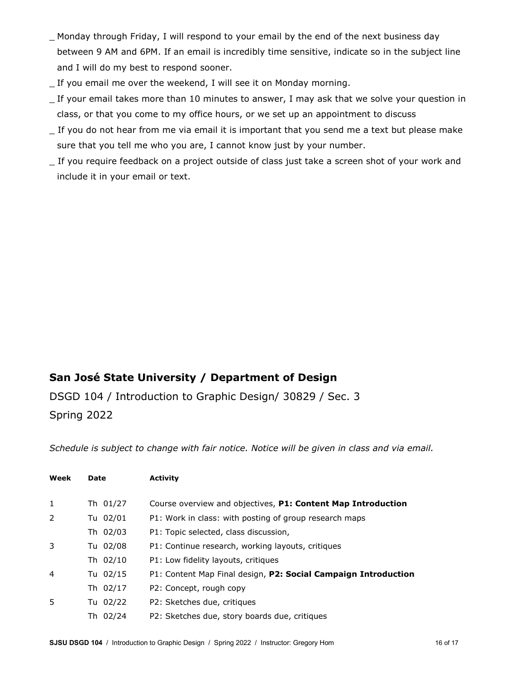- \_ Monday through Friday, I will respond to your email by the end of the next business day between 9 AM and 6PM. If an email is incredibly time sensitive, indicate so in the subject line and I will do my best to respond sooner.
- \_ If you email me over the weekend, I will see it on Monday morning.
- \_ If your email takes more than 10 minutes to answer, I may ask that we solve your question in class, or that you come to my office hours, or we set up an appointment to discuss
- \_ If you do not hear from me via email it is important that you send me a text but please make sure that you tell me who you are, I cannot know just by your number.
- \_ If you require feedback on a project outside of class just take a screen shot of your work and include it in your email or text.

# **San José State University / Department of Design**

DSGD 104 / Introduction to Graphic Design/ 30829 / Sec. 3 Spring 2022

*Schedule is subject to change with fair notice. Notice will be given in class and via email.* 

| Week           | Date     | <b>Activity</b>                                                |
|----------------|----------|----------------------------------------------------------------|
|                |          |                                                                |
| 1              | Th 01/27 | Course overview and objectives, P1: Content Map Introduction   |
| $\overline{2}$ | Tu 02/01 | P1: Work in class: with posting of group research maps         |
|                | Th 02/03 | P1: Topic selected, class discussion,                          |
| 3              | Tu 02/08 | P1: Continue research, working layouts, critiques              |
|                | Th 02/10 | P1: Low fidelity layouts, critiques                            |
| 4              | Tu 02/15 | P1: Content Map Final design, P2: Social Campaign Introduction |
|                | Th 02/17 | P2: Concept, rough copy                                        |
| 5.             | Tu 02/22 | P2: Sketches due, critiques                                    |
|                | Th 02/24 | P2: Sketches due, story boards due, critiques                  |